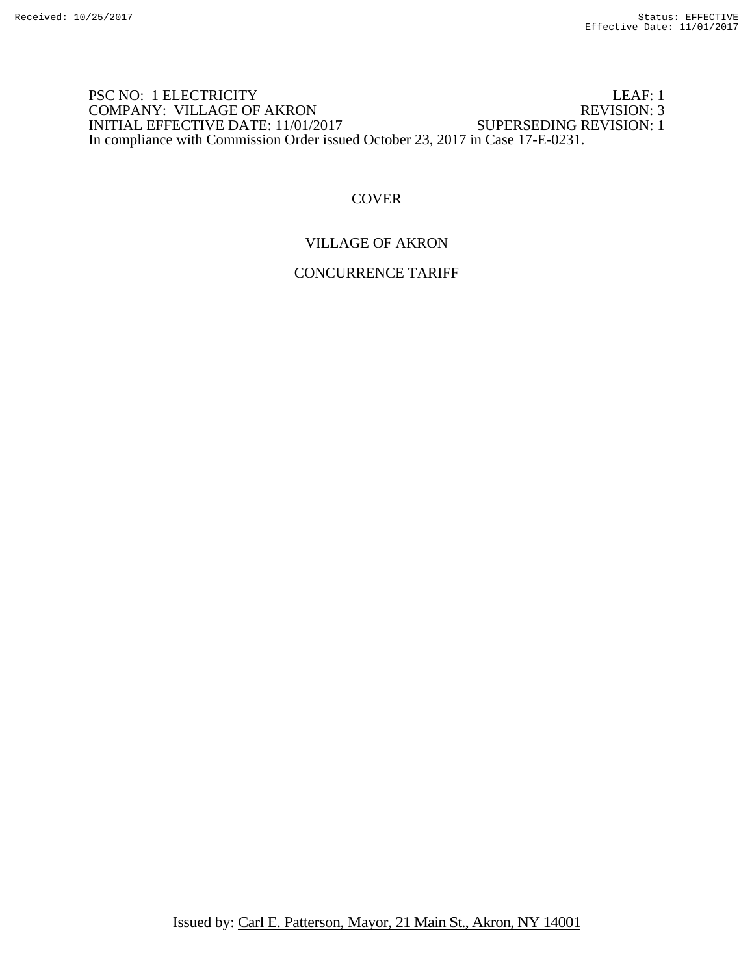### PSC NO: 1 ELECTRICITY LEAF: 1<br>
COMPANY: VILLAGE OF AKRON REVISION: 3 COMPANY: VILLAGE OF AKRON REVISION: 3<br>INITIAL EFFECTIVE DATE: 11/01/2017 SUPERSEDING REVISION: 1 INITIAL EFFECTIVE DATE: 11/01/2017 In compliance with Commission Order issued October 23, 2017 in Case 17-E-0231.

## **COVER**

## VILLAGE OF AKRON

# CONCURRENCE TARIFF

Issued by: Carl E. Patterson, Mayor, 21 Main St., Akron, NY 14001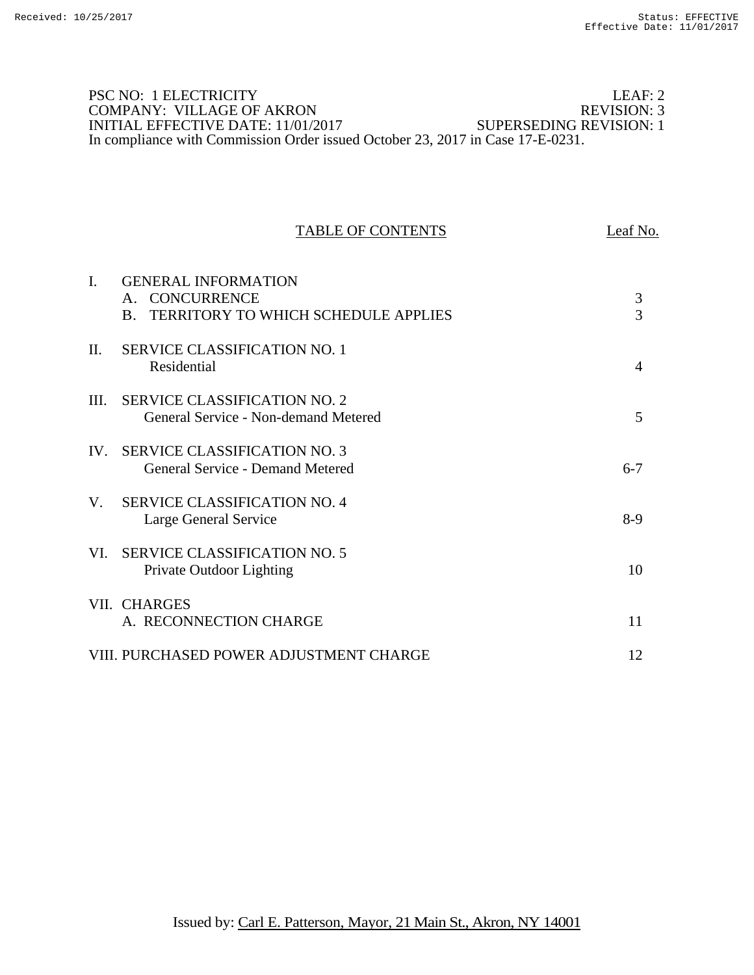### PSC NO: 1 ELECTRICITY LEAF: 2<br>
COMPANY: VILLAGE OF AKRON REVISION: 3 COMPANY: VILLAGE OF AKRON REVISION: 3<br>INITIAL EFFECTIVE DATE: 11/01/2017 SUPERSEDING REVISION: 1 INITIAL EFFECTIVE DATE: 11/01/2017 In compliance with Commission Order issued October 23, 2017 in Case 17-E-0231.

#### TABLE OF CONTENTS Leaf No.

| I.       | <b>GENERAL INFORMATION</b><br><b>CONCURRENCE</b><br>$\mathsf{A}$ .<br>TERRITORY TO WHICH SCHEDULE APPLIES<br>$\bf{B}$ | 3<br>3         |
|----------|-----------------------------------------------------------------------------------------------------------------------|----------------|
| $\Pi$ .  | <b>SERVICE CLASSIFICATION NO. 1</b><br>Residential                                                                    | $\overline{4}$ |
| III.     | <b>SERVICE CLASSIFICATION NO. 2</b><br>General Service - Non-demand Metered                                           | 5              |
| $IV_{-}$ | <b>SERVICE CLASSIFICATION NO. 3</b><br>General Service - Demand Metered                                               | $6 - 7$        |
| $V_{-}$  | <b>SERVICE CLASSIFICATION NO. 4</b><br>Large General Service                                                          | $8-9$          |
| VL.      | <b>SERVICE CLASSIFICATION NO. 5</b><br>Private Outdoor Lighting                                                       | 10             |
|          | VII. CHARGES<br>A. RECONNECTION CHARGE                                                                                | 11             |
|          | VIII. PURCHASED POWER ADJUSTMENT CHARGE                                                                               | 12             |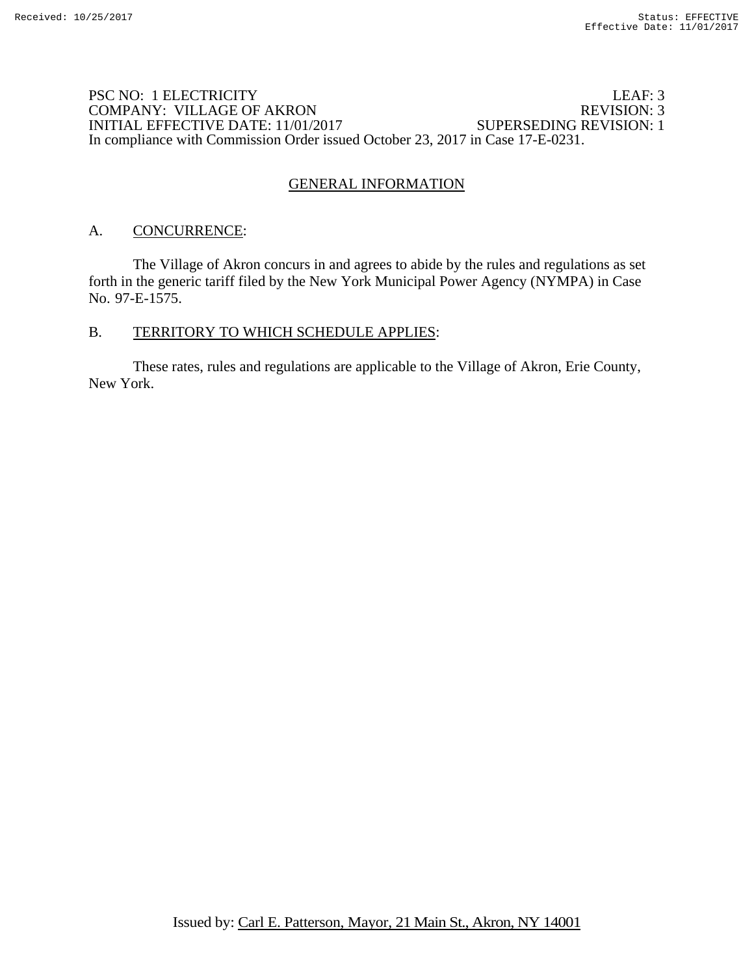### PSC NO: 1 ELECTRICITY LEAF: 3<br>
COMPANY: VILLAGE OF AKRON REVISION: 3 COMPANY: VILLAGE OF AKRON INITIAL EFFECTIVE DATE: 11/01/2017 SUPERSEDING REVISION: 1 In compliance with Commission Order issued October 23, 2017 in Case 17-E-0231.

# GENERAL INFORMATION

## A. CONCURRENCE:

The Village of Akron concurs in and agrees to abide by the rules and regulations as set forth in the generic tariff filed by the New York Municipal Power Agency (NYMPA) in Case No. 97-E-1575.

### B. TERRITORY TO WHICH SCHEDULE APPLIES:

 These rates, rules and regulations are applicable to the Village of Akron, Erie County, New York.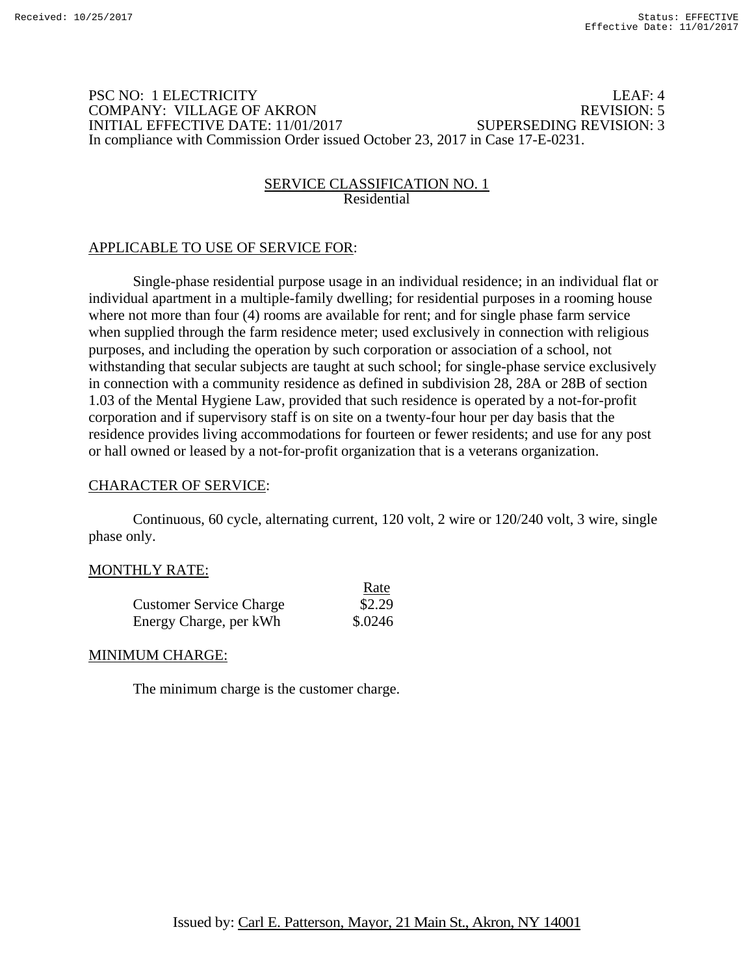### PSC NO: 1 ELECTRICITY LEAF: 4 COMPANY: VILLAGE OF AKRON REVISION: 5 INITIAL EFFECTIVE DATE: 11/01/2017 SUPERSEDING REVISION: 3 In compliance with Commission Order issued October 23, 2017 in Case 17-E-0231.

### SERVICE CLASSIFICATION NO. 1 Residential

# APPLICABLE TO USE OF SERVICE FOR:

Single-phase residential purpose usage in an individual residence; in an individual flat or individual apartment in a multiple-family dwelling; for residential purposes in a rooming house where not more than four (4) rooms are available for rent; and for single phase farm service when supplied through the farm residence meter; used exclusively in connection with religious purposes, and including the operation by such corporation or association of a school, not withstanding that secular subjects are taught at such school; for single-phase service exclusively in connection with a community residence as defined in subdivision 28, 28A or 28B of section 1.03 of the Mental Hygiene Law, provided that such residence is operated by a not-for-profit corporation and if supervisory staff is on site on a twenty-four hour per day basis that the residence provides living accommodations for fourteen or fewer residents; and use for any post or hall owned or leased by a not-for-profit organization that is a veterans organization.

### CHARACTER OF SERVICE:

 Continuous, 60 cycle, alternating current, 120 volt, 2 wire or 120/240 volt, 3 wire, single phase only.

 $R_{\rm B}$ 

### MONTHLY RATE:

|                                | naic    |
|--------------------------------|---------|
| <b>Customer Service Charge</b> | \$2.29  |
| Energy Charge, per kWh         | \$.0246 |

### MINIMUM CHARGE:

The minimum charge is the customer charge.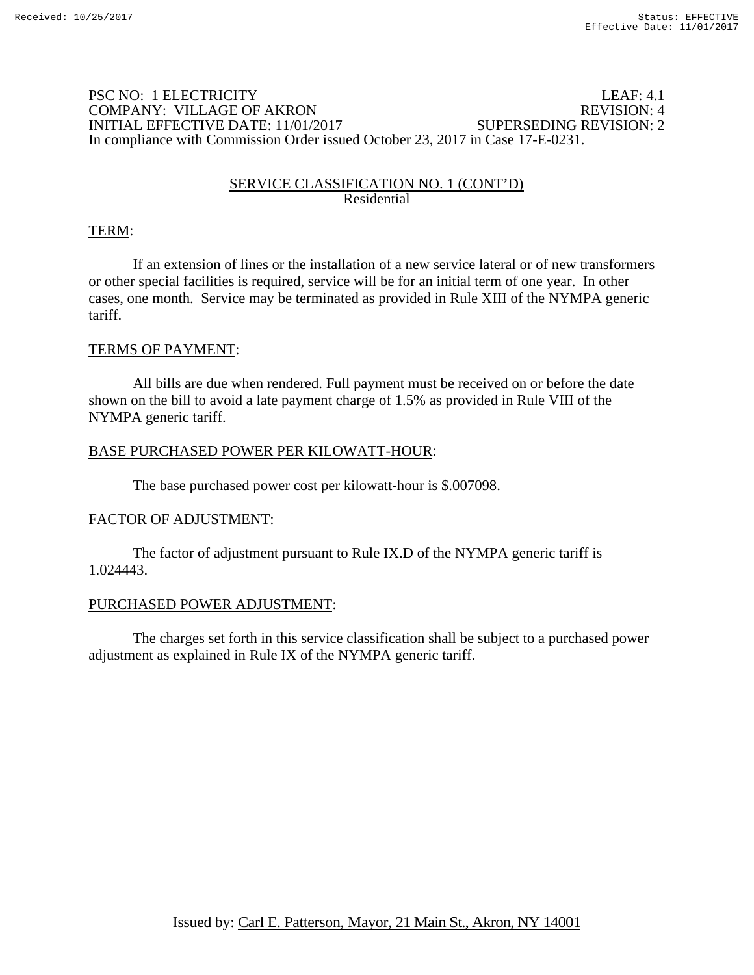### PSC NO: 1 ELECTRICITY LEAF: 4.1 COMPANY: VILLAGE OF AKRON REVISION: 4 INITIAL EFFECTIVE DATE: 11/01/2017 SUPERSEDING REVISION: 2 In compliance with Commission Order issued October 23, 2017 in Case 17-E-0231.

### SERVICE CLASSIFICATION NO. 1 (CONT'D) Residential

## TERM:

If an extension of lines or the installation of a new service lateral or of new transformers or other special facilities is required, service will be for an initial term of one year. In other cases, one month. Service may be terminated as provided in Rule XIII of the NYMPA generic tariff.

## TERMS OF PAYMENT:

All bills are due when rendered. Full payment must be received on or before the date shown on the bill to avoid a late payment charge of 1.5% as provided in Rule VIII of the NYMPA generic tariff.

### BASE PURCHASED POWER PER KILOWATT-HOUR:

The base purchased power cost per kilowatt-hour is \$.007098.

### FACTOR OF ADJUSTMENT:

The factor of adjustment pursuant to Rule IX.D of the NYMPA generic tariff is 1.024443.

### PURCHASED POWER ADJUSTMENT:

 The charges set forth in this service classification shall be subject to a purchased power adjustment as explained in Rule IX of the NYMPA generic tariff.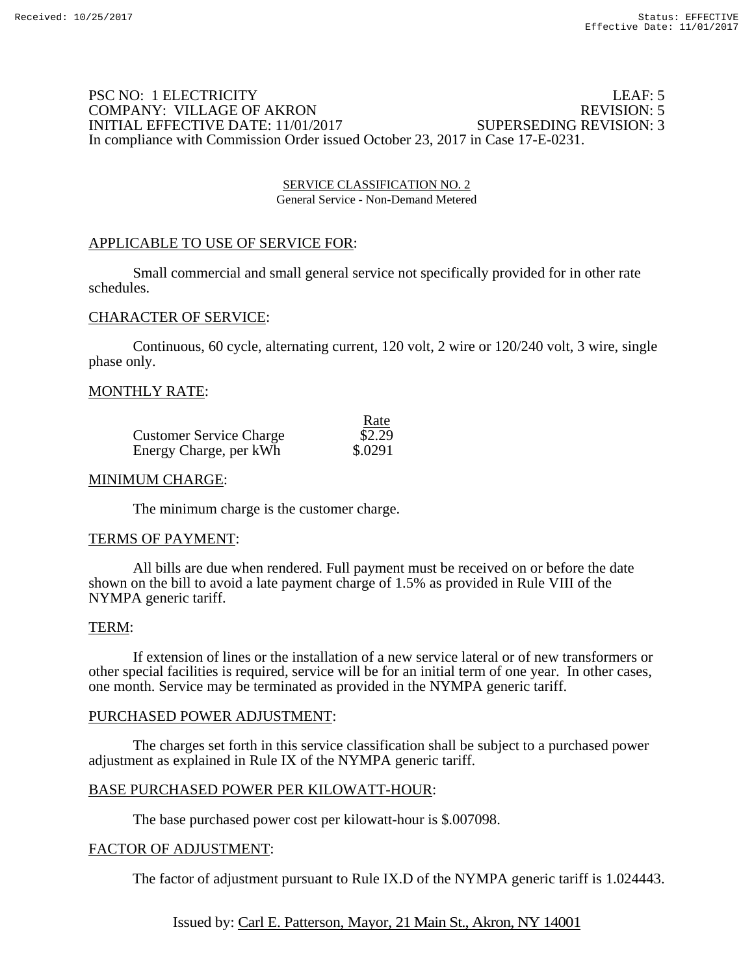### PSC NO: 1 ELECTRICITY LEAF: 5 COMPANY: VILLAGE OF AKRON REVISION: 5 INITIAL EFFECTIVE DATE: 11/01/2017 SUPERSEDING REVISION: 3 In compliance with Commission Order issued October 23, 2017 in Case 17-E-0231.

SERVICE CLASSIFICATION NO. 2 General Service - Non-Demand Metered

### APPLICABLE TO USE OF SERVICE FOR:

 Small commercial and small general service not specifically provided for in other rate schedules.

### CHARACTER OF SERVICE:

Continuous, 60 cycle, alternating current, 120 volt, 2 wire or 120/240 volt, 3 wire, single phase only.

#### MONTHLY RATE:

|                                | Rate    |
|--------------------------------|---------|
| <b>Customer Service Charge</b> | \$2.29  |
| Energy Charge, per kWh         | \$.0291 |

#### MINIMUM CHARGE:

The minimum charge is the customer charge.

#### TERMS OF PAYMENT:

 All bills are due when rendered. Full payment must be received on or before the date shown on the bill to avoid a late payment charge of 1.5% as provided in Rule VIII of the NYMPA generic tariff.

#### TERM:

 If extension of lines or the installation of a new service lateral or of new transformers or other special facilities is required, service will be for an initial term of one year. In other cases, one month. Service may be terminated as provided in the NYMPA generic tariff.

#### PURCHASED POWER ADJUSTMENT:

 The charges set forth in this service classification shall be subject to a purchased power adjustment as explained in Rule IX of the NYMPA generic tariff.

### BASE PURCHASED POWER PER KILOWATT-HOUR:

The base purchased power cost per kilowatt-hour is \$.007098.

#### FACTOR OF ADJUSTMENT:

The factor of adjustment pursuant to Rule IX.D of the NYMPA generic tariff is 1.024443.

Issued by: Carl E. Patterson, Mayor, 21 Main St., Akron, NY 14001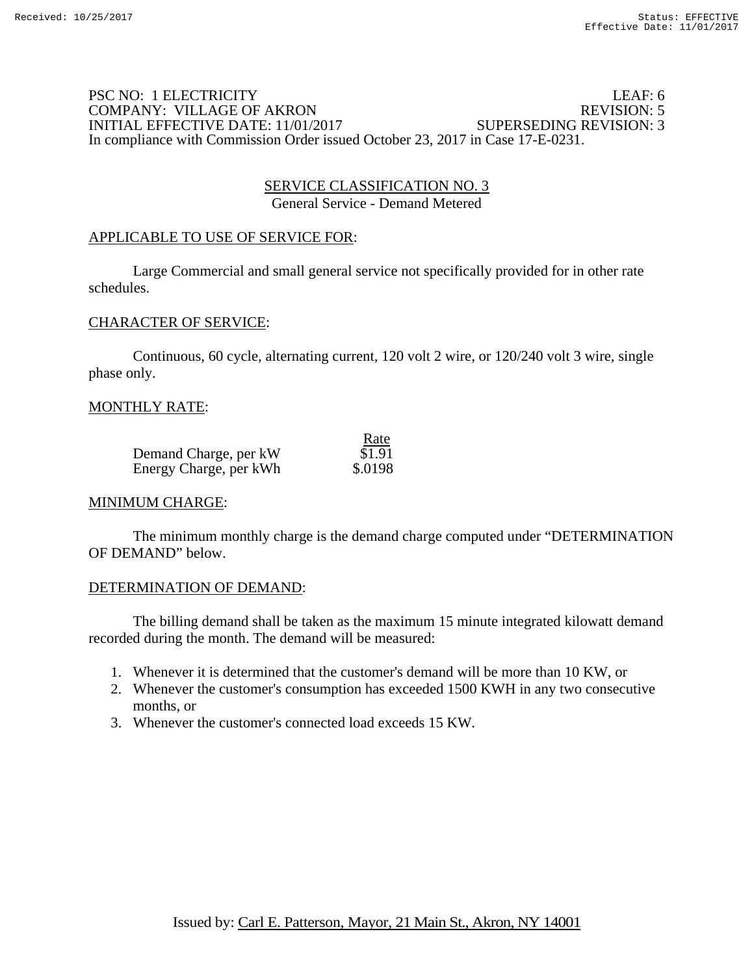### PSC NO: 1 ELECTRICITY LEAF: 6 COMPANY: VILLAGE OF AKRON REVISION: 5 INITIAL EFFECTIVE DATE: 11/01/2017 SUPERSEDING REVISION: 3 In compliance with Commission Order issued October 23, 2017 in Case 17-E-0231.

### SERVICE CLASSIFICATION NO. 3 General Service - Demand Metered

## APPLICABLE TO USE OF SERVICE FOR:

 Large Commercial and small general service not specifically provided for in other rate schedules.

### CHARACTER OF SERVICE:

 Continuous, 60 cycle, alternating current, 120 volt 2 wire, or 120/240 volt 3 wire, single phase only.

### MONTHLY RATE:

|                        | Rate    |
|------------------------|---------|
| Demand Charge, per kW  | \$1.91  |
| Energy Charge, per kWh | \$.0198 |

### MINIMUM CHARGE:

 The minimum monthly charge is the demand charge computed under "DETERMINATION OF DEMAND" below.

### DETERMINATION OF DEMAND:

 The billing demand shall be taken as the maximum 15 minute integrated kilowatt demand recorded during the month. The demand will be measured:

- 1. Whenever it is determined that the customer's demand will be more than 10 KW, or
- 2. Whenever the customer's consumption has exceeded 1500 KWH in any two consecutive months, or
- 3. Whenever the customer's connected load exceeds 15 KW.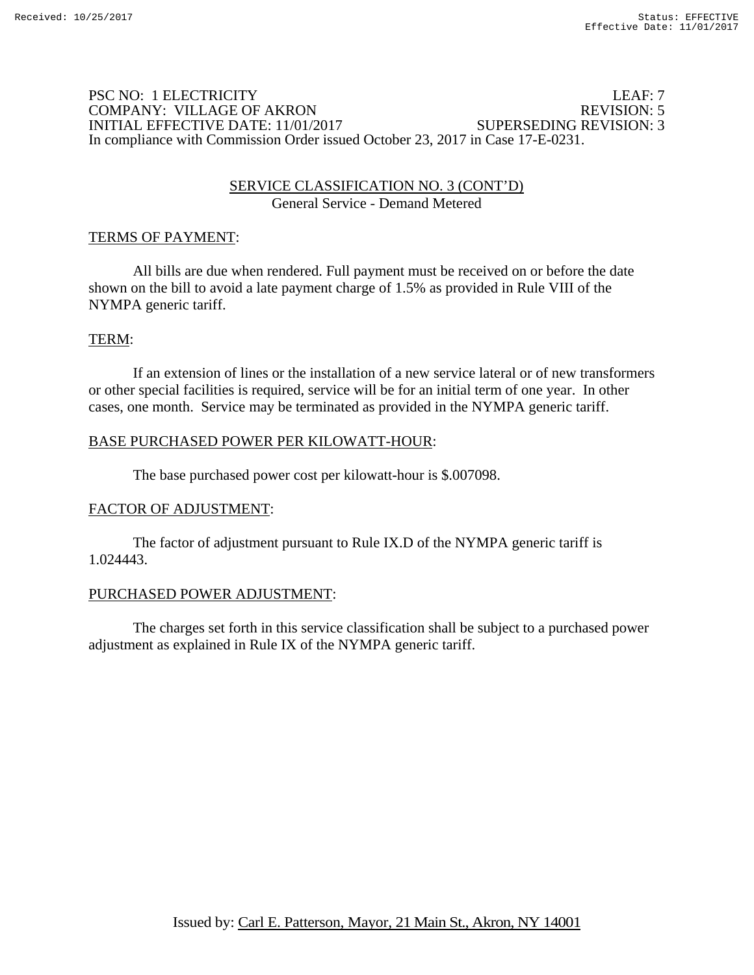### PSC NO: 1 ELECTRICITY LEAF: 7 COMPANY: VILLAGE OF AKRON INITIAL EFFECTIVE DATE: 11/01/2017 SUPERSEDING REVISION: 3 In compliance with Commission Order issued October 23, 2017 in Case 17-E-0231.

### SERVICE CLASSIFICATION NO. 3 (CONT'D) General Service - Demand Metered

## TERMS OF PAYMENT:

All bills are due when rendered. Full payment must be received on or before the date shown on the bill to avoid a late payment charge of 1.5% as provided in Rule VIII of the NYMPA generic tariff.

## TERM:

If an extension of lines or the installation of a new service lateral or of new transformers or other special facilities is required, service will be for an initial term of one year. In other cases, one month. Service may be terminated as provided in the NYMPA generic tariff.

## BASE PURCHASED POWER PER KILOWATT-HOUR:

The base purchased power cost per kilowatt-hour is \$.007098.

## FACTOR OF ADJUSTMENT:

The factor of adjustment pursuant to Rule IX.D of the NYMPA generic tariff is 1.024443.

## PURCHASED POWER ADJUSTMENT:

 The charges set forth in this service classification shall be subject to a purchased power adjustment as explained in Rule IX of the NYMPA generic tariff.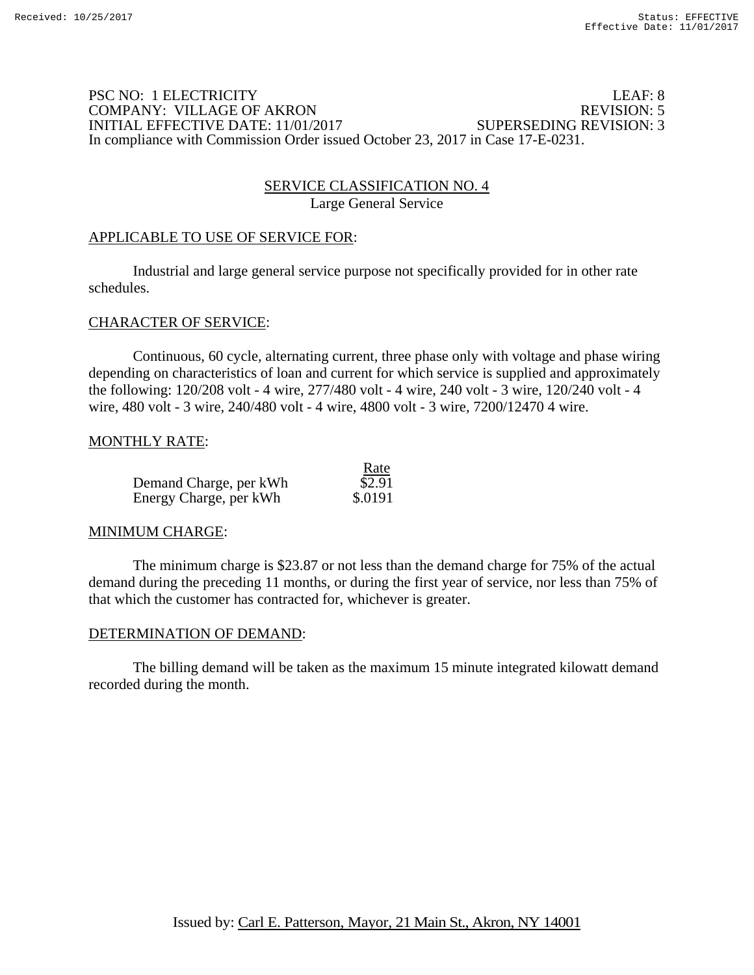### PSC NO: 1 ELECTRICITY LEAF: 8 COMPANY: VILLAGE OF AKRON REVISION: 5 INITIAL EFFECTIVE DATE: 11/01/2017 SUPERSEDING REVISION: 3 In compliance with Commission Order issued October 23, 2017 in Case 17-E-0231.

## SERVICE CLASSIFICATION NO. 4 Large General Service

## APPLICABLE TO USE OF SERVICE FOR:

 Industrial and large general service purpose not specifically provided for in other rate schedules.

### CHARACTER OF SERVICE:

 Continuous, 60 cycle, alternating current, three phase only with voltage and phase wiring depending on characteristics of loan and current for which service is supplied and approximately the following: 120/208 volt - 4 wire, 277/480 volt - 4 wire, 240 volt - 3 wire, 120/240 volt - 4 wire, 480 volt - 3 wire, 240/480 volt - 4 wire, 4800 volt - 3 wire, 7200/12470 4 wire.

### MONTHLY RATE:

|                        | Rate    |
|------------------------|---------|
| Demand Charge, per kWh | \$2.91  |
| Energy Charge, per kWh | \$.0191 |

### MINIMUM CHARGE:

 The minimum charge is \$23.87 or not less than the demand charge for 75% of the actual demand during the preceding 11 months, or during the first year of service, nor less than 75% of that which the customer has contracted for, whichever is greater.

### DETERMINATION OF DEMAND:

 The billing demand will be taken as the maximum 15 minute integrated kilowatt demand recorded during the month.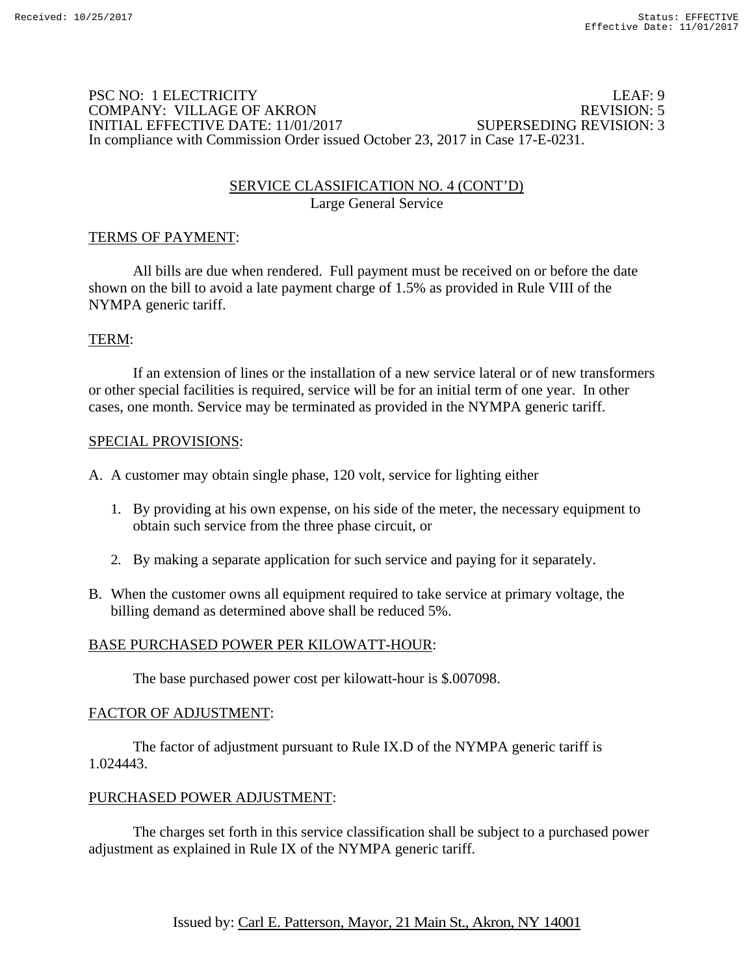### PSC NO: 1 ELECTRICITY LEAF: 9 COMPANY: VILLAGE OF AKRON INITIAL EFFECTIVE DATE: 11/01/2017 SUPERSEDING REVISION: 3 In compliance with Commission Order issued October 23, 2017 in Case 17-E-0231.

## SERVICE CLASSIFICATION NO. 4 (CONT'D) Large General Service

## TERMS OF PAYMENT:

 All bills are due when rendered. Full payment must be received on or before the date shown on the bill to avoid a late payment charge of 1.5% as provided in Rule VIII of the NYMPA generic tariff.

## TERM:

 If an extension of lines or the installation of a new service lateral or of new transformers or other special facilities is required, service will be for an initial term of one year. In other cases, one month. Service may be terminated as provided in the NYMPA generic tariff.

### SPECIAL PROVISIONS:

- A. A customer may obtain single phase, 120 volt, service for lighting either
	- 1. By providing at his own expense, on his side of the meter, the necessary equipment to obtain such service from the three phase circuit, or
	- 2. By making a separate application for such service and paying for it separately.
- B. When the customer owns all equipment required to take service at primary voltage, the billing demand as determined above shall be reduced 5%.

## BASE PURCHASED POWER PER KILOWATT-HOUR:

The base purchased power cost per kilowatt-hour is \$.007098.

### FACTOR OF ADJUSTMENT:

 The factor of adjustment pursuant to Rule IX.D of the NYMPA generic tariff is 1.024443.

### PURCHASED POWER ADJUSTMENT:

 The charges set forth in this service classification shall be subject to a purchased power adjustment as explained in Rule IX of the NYMPA generic tariff.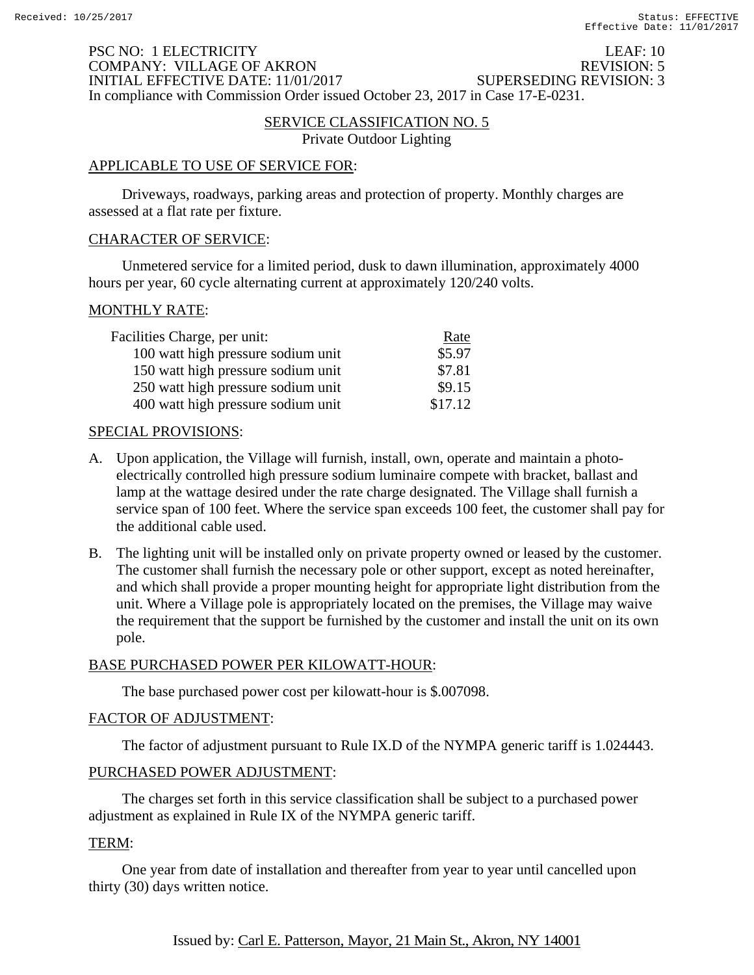### PSC NO: 1 ELECTRICITY LEAF: 10 COMPANY: VILLAGE OF AKRON REVISION: 5<br>INITIAL EFFECTIVE DATE: 11/01/2017 SUPERSEDING REVISION: 3 INITIAL EFFECTIVE DATE: 11/01/2017 In compliance with Commission Order issued October 23, 2017 in Case 17-E-0231.

### SERVICE CLASSIFICATION NO. 5

Private Outdoor Lighting

### APPLICABLE TO USE OF SERVICE FOR:

 Driveways, roadways, parking areas and protection of property. Monthly charges are assessed at a flat rate per fixture.

#### CHARACTER OF SERVICE:

 Unmetered service for a limited period, dusk to dawn illumination, approximately 4000 hours per year, 60 cycle alternating current at approximately 120/240 volts.

#### MONTHLY RATE:

| Facilities Charge, per unit:       | Rate    |
|------------------------------------|---------|
| 100 watt high pressure sodium unit | \$5.97  |
| 150 watt high pressure sodium unit | \$7.81  |
| 250 watt high pressure sodium unit | \$9.15  |
| 400 watt high pressure sodium unit | \$17.12 |

#### SPECIAL PROVISIONS:

- A. Upon application, the Village will furnish, install, own, operate and maintain a photoelectrically controlled high pressure sodium luminaire compete with bracket, ballast and lamp at the wattage desired under the rate charge designated. The Village shall furnish a service span of 100 feet. Where the service span exceeds 100 feet, the customer shall pay for the additional cable used.
- B. The lighting unit will be installed only on private property owned or leased by the customer. The customer shall furnish the necessary pole or other support, except as noted hereinafter, and which shall provide a proper mounting height for appropriate light distribution from the unit. Where a Village pole is appropriately located on the premises, the Village may waive the requirement that the support be furnished by the customer and install the unit on its own pole.

### BASE PURCHASED POWER PER KILOWATT-HOUR:

The base purchased power cost per kilowatt-hour is \$.007098.

### FACTOR OF ADJUSTMENT:

The factor of adjustment pursuant to Rule IX.D of the NYMPA generic tariff is 1.024443.

### PURCHASED POWER ADJUSTMENT:

 The charges set forth in this service classification shall be subject to a purchased power adjustment as explained in Rule IX of the NYMPA generic tariff.

### TERM:

 One year from date of installation and thereafter from year to year until cancelled upon thirty (30) days written notice.

## Issued by: Carl E. Patterson, Mayor, 21 Main St., Akron, NY 14001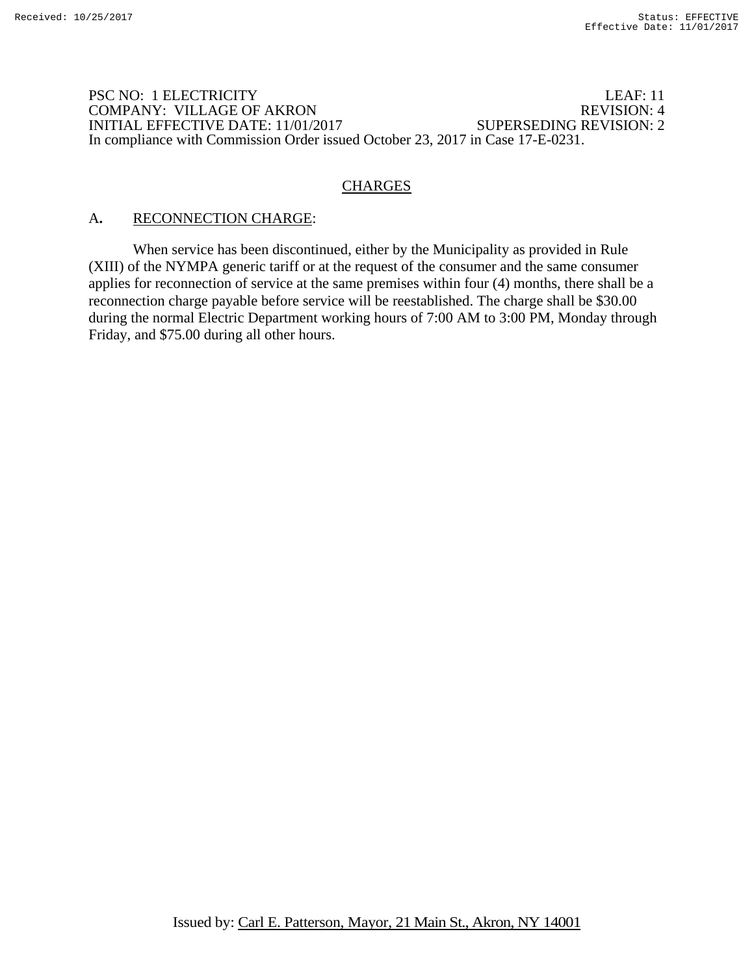### PSC NO: 1 ELECTRICITY LEAF: 11 COMPANY: VILLAGE OF AKRON REVISION: 4 INITIAL EFFECTIVE DATE: 11/01/2017 SUPERSEDING REVISION: 2 In compliance with Commission Order issued October 23, 2017 in Case 17-E-0231.

# **CHARGES**

## A**.** RECONNECTION CHARGE:

 When service has been discontinued, either by the Municipality as provided in Rule (XIII) of the NYMPA generic tariff or at the request of the consumer and the same consumer applies for reconnection of service at the same premises within four (4) months, there shall be a reconnection charge payable before service will be reestablished. The charge shall be \$30.00 during the normal Electric Department working hours of 7:00 AM to 3:00 PM, Monday through Friday, and \$75.00 during all other hours.